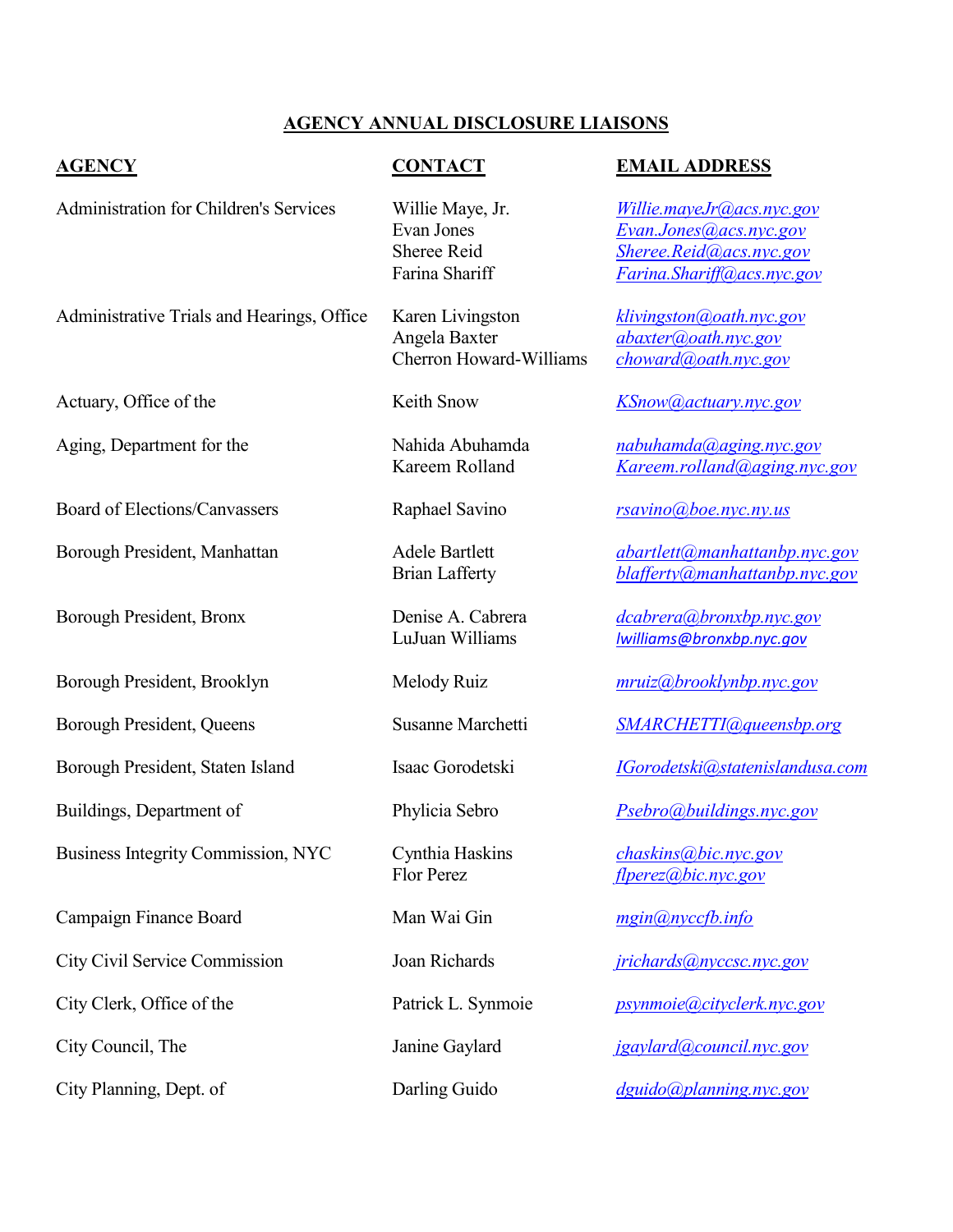## **AGENCY ANNUAL DISCLOSURE LIAISONS**

Administration for Children's Services Willie Maye, Jr. *[Willie.mayeJr@acs.nyc.gov](mailto:Willie.mayeJr@acs.nyc.gov)*

Administrative Trials and Hearings, Office Karen Livingston *[klivingston@oath.nyc.gov](mailto:klivingston@oath.nyc.gov)* Angela Baxter *[abaxter@oath.nyc.gov](mailto:abaxter@oath.nyc.gov)* Cherron Howard-Williams *[choward@oath.nyc.gov](mailto:choward@oath.nyc.gov)*

## **AGENCY CONTACT EMAIL ADDRESS**

Evan Jones *[Evan.Jones@acs.nyc.gov](mailto:Evan.Jones@acs.nyc.gov)* Sheree Reid *[Sheree.Reid@acs.nyc.gov](mailto:Sheree.Reid@acs.nyc.gov)* Farina Shariff *[Farina.Shariff@acs.nyc.gov](mailto:Farina.Shariff@acs.nyc.gov)*

Actuary, Office of the Keith Snow *[KSnow@actuary.nyc.gov](mailto:KSnow@actuary.nyc.gov)* 

Aging, Department for the Nahida Abuhamda *[nabuhamda@aging.nyc.gov](mailto:nabuhamda@aging.nyc.gov)* Kareem Rolland *[Kareem.rolland@aging.nyc.gov](mailto:Kareem.rolland@aging.nyc.gov)*

Board of Elections/Canvassers Raphael Savino *rsavino@boe.nyc.ny.us*

Borough President, Manhattan **Adele Bartlett** *abartlett <i>abartlett amanhattanbp.nyc.gov* Brian Lafferty *[blafferty@manhattanbp.nyc.gov](mailto:blafferty@manhattanbp.nyc.gov)*

Borough President, Bronx Denise A. Cabrera *[dcabrera@bronxbp.nyc.gov](mailto:dcabrera@bronxbp.nyc.gov)* LuJuan Williams *[lwilliams@bronxbp.nyc.gov](mailto:lwilliams@bronxbp.nyc.gov)*

Borough President, Queens Susanne Marchetti *[SMARCHETTI@queensbp.org](mailto:SMARCHETTI@queensbp.org)*

Borough President, Staten Island Isaac Gorodetski *[IGorodetski@statenislandusa.com](mailto:IGorodetski@statenislandusa.com)*

Buildings, Department of Phylicia Sebro *[Psebro@buildings.nyc.gov](mailto:Psebro@buildings.nyc.gov)*

Flor Perez *[flperez@bic.nyc.gov](mailto:flperez@bic.nyc.gov)*

City Clerk, Office of the Patrick L. Synmoie *[psynmoie@cityclerk.nyc.gov](mailto:psynmoie@cityclerk.nyc.gov)*

City Council, The Janine Gaylard *[jgaylard@council.nyc.gov](mailto:jgaylard@council.nyc.gov)*

City Planning, Dept. of Darling Guido *[dguido@planning.nyc.gov](mailto:dcohen@planning.nyc.gov)*

Borough President, Brooklyn Melody Ruiz *[mruiz@brooklynbp.nyc.gov](mailto:mruiz@brooklynbp.nyc.gov)*

Business Integrity Commission, NYC Cynthia Haskins *[chaskins@bic.nyc.gov](mailto:chaskins@bic.nyc.gov)*

Campaign Finance Board Man Wai Gin *mgin@nyccfb.info*

City Civil Service Commission Joan Richards *[jrichards@nyccsc.nyc.gov](mailto:jrichards@nyccsc.nyc.gov)*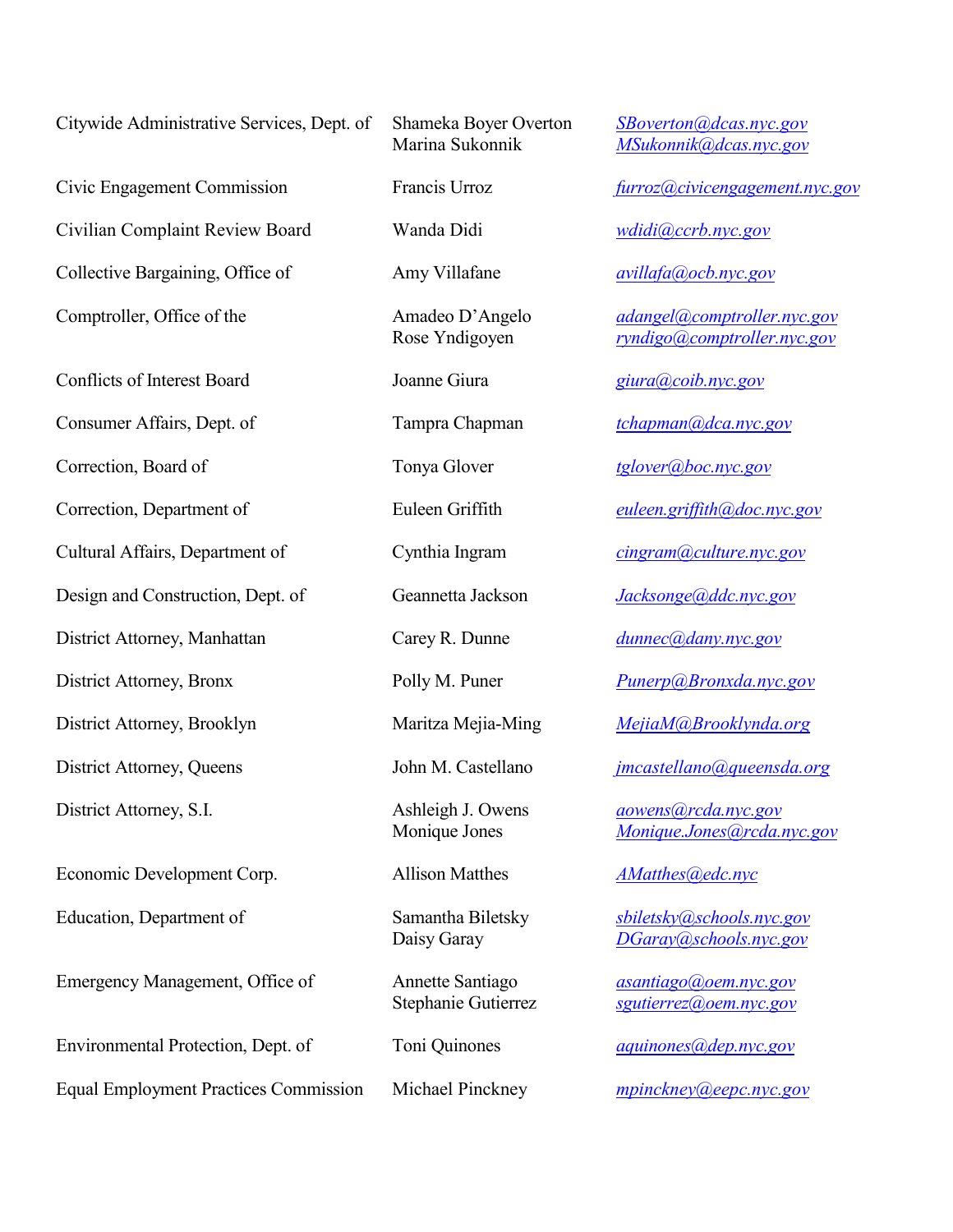Citywide Administrative Services, Dept. of Shameka Boyer Overton *[SBoverton@dcas.nyc.gov](mailto:SBoverton@dcas.nyc.gov)*

Civilian Complaint Review Board Wanda Didi *wdidi@ccrb.nyc.gov*

Collective Bargaining, Office of Amy Villafane *[avillafa@ocb.nyc.gov](mailto:avillafa@ocb.nyc.gov)*

Conflicts of Interest Board Joanne Giura *[giura@coib.nyc.gov](mailto:giura@coib.nyc.gov)*

Consumer Affairs, Dept. of Tampra Chapman *[tchapman@dca.nyc.gov](mailto:tchapman@dca.nyc.gov)* 

Cultural Affairs, Department of Cynthia Ingram *[cingram@culture.nyc.gov](mailto:cingram@culture.nyc.gov)*

Design and Construction, Dept. of Geannetta Jackson *[Jacksonge@ddc.nyc.gov](mailto:PodestaJa@ddc.nyc.gov)* 

District Attorney, Manhattan Carey R. Dunne *[dunnec@dany.nyc.gov](mailto:dunnec@dany.nyc.gov)*

Economic Development Corp. Allison Matthes *[AMatthes@edc.nyc](mailto:AMatthes@edc.nyc)*

Emergency Management, Office of **Annette Santiago** *asantiago <i>asantiago agoem.nyc.gov* 

Environmental Protection, Dept. of Toni Quinones *aquinones aquinones aguinones* 

Equal Employment Practices Commission Michael Pinckney *[mpinckney@eepc.nyc.gov](mailto:mpinckney@eepc.nyc.gov)*

Marina Sukonnik *[MSukonnik@dcas.nyc.gov](mailto:MSukonnik@dcas.nyc.gov)*

Civic Engagement Commission Francis Urroz *[furroz@civicengagement.nyc.gov](mailto:furroz@civicengagement.nyc.gov)*

Comptroller, Office of the Amadeo D'Angelo *[adangel@comptroller.nyc.gov](mailto:adangel@comptroller.nyc.gov)* Rose Yndigoyen *[ryndigo@comptroller.nyc.gov](mailto:ryndigo@comptroller.nyc.gov)*

Correction, Board of Tonya Glover *[tglover@boc.nyc.gov](mailto:rtwolf@boc.nyc.gov)*

Correction, Department of Euleen Griffith *[euleen.griffith@doc.nyc.gov](mailto:euleen.griffith@doc.nyc.gov)*

District Attorney, Bronx Polly M. Puner *[Punerp@Bronxda.nyc.gov](mailto:Punerp@Bronxda.nyc.gov)*

District Attorney, Brooklyn Maritza Mejia-Ming *[MejiaM@Brooklynda.org](mailto:MejiaM@Brooklynda.org)*

District Attorney, Queens John M. Castellano *[jmcastellano@queensda.org](mailto:jmcastellano@queensda.org)* 

District Attorney, S.I. Ashleigh J. Owens *[aowens@rcda.nyc.gov](mailto:aowens@rcda.nyc.gov)* Monique Jones *[Monique.Jones@rcda.nyc.gov](mailto:Monique.Jones@rcda.nyc.gov)*

Education, Department of Samantha Biletsky *[sbiletsky@schools.nyc.gov](mailto:sbiletsky@schools.nyc.gov)* Daisy Garay *[DGaray@schools.nyc.gov](mailto:DGaray@schools.nyc.gov)*

Stephanie Gutierrez *[sgutierrez@oem.nyc.gov](mailto:sgutierrez@oem.nyc.gov)*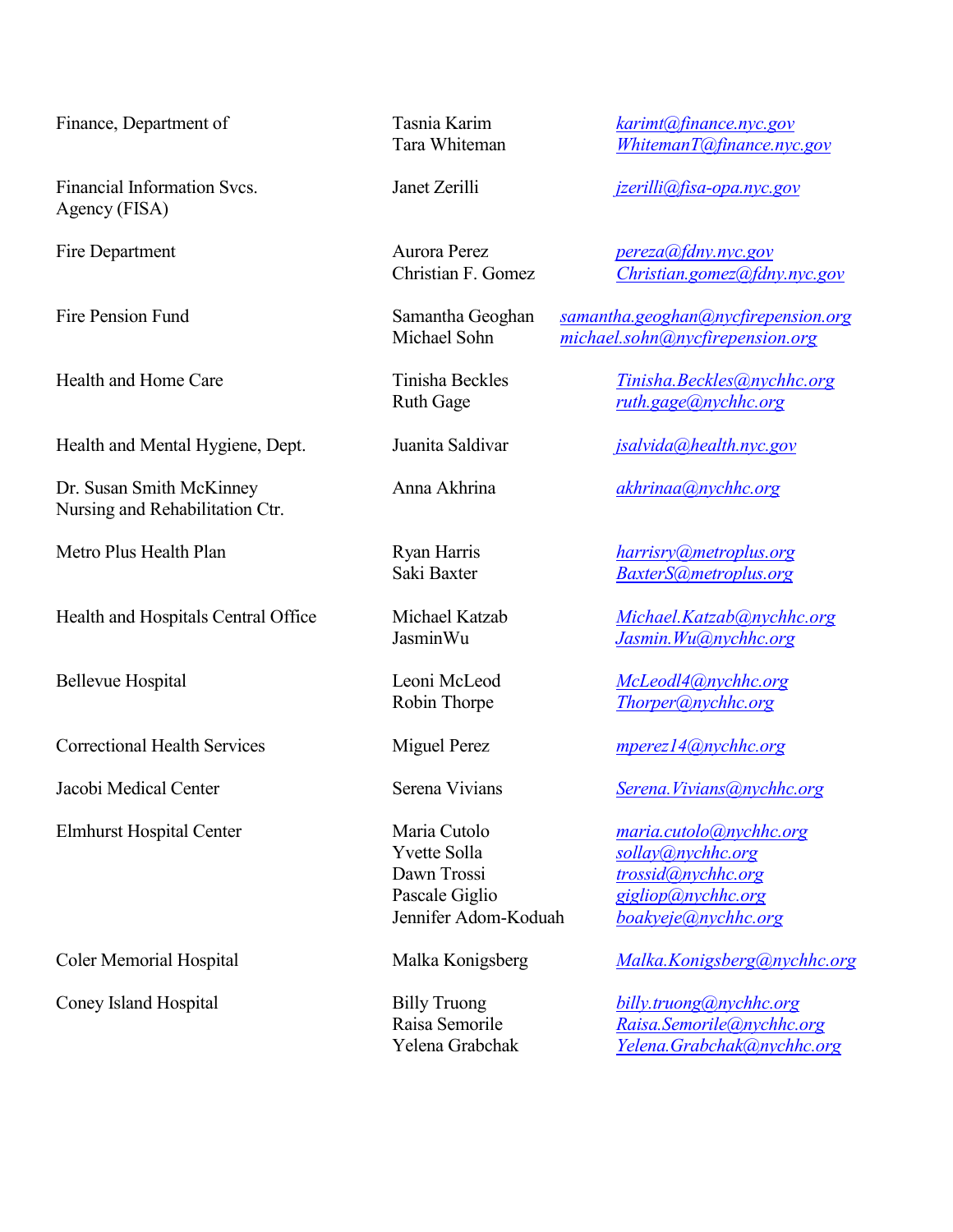Financial Information Svcs. Janet Zerilli *[jzerilli@fisa-opa.nyc.gov](mailto:jzerilli@fisa.nyc.gov)* Agency (FISA)

Health and Mental Hygiene, Dept. Juanita Saldivar *[jsalvida@health.nyc.gov](mailto:jsalvida@health.nyc.gov)* 

Dr. Susan Smith McKinney Anna Akhrina *[akhrinaa@nychhc.org](mailto:akhrinaa@nychhc.org)* Nursing and Rehabilitation Ctr.

Health and Hospitals Central Office Michael Katzab *Michael.Katzab @nychhc.org* 

Correctional Health Services Miguel Perez *[mperez14@nychhc.org](mailto:mperez14@nychhc.org)*

Yvette Solla *[sollay@nychhc.org](mailto:sollay@nychhc.org)* Dawn Trossi *[trossid@nychhc.org](mailto:trossid@nychhc.org)* Pascale Giglio *[gigliop@nychhc.org](mailto:gigliop@nychhc.org)*<br>Jennifer Adom-Koduah *boakyeje@nychhc.org* 

Finance, Department of Tasnia Karim *[karimt@finance.nyc.gov](mailto:karimt@finance.nyc.gov)* Tara Whiteman *[WhitemanT@finance.nyc.gov](mailto:WhitemanT@finance.nyc.gov)*

Fire Department Aurora Perez *[pereza@fdny.nyc.gov](mailto:pereza@fdny.nyc.gov)* Christian F. Gomez *[Christian.gomez@fdny.nyc.gov](mailto:Christian.gomez@fdny.nyc.gov)*

Fire Pension Fund Samantha Geoghan *[samantha.geoghan@nycfirepension.org](mailto:samantha.geoghan@nycfirepension.org)* Michael Sohn *[michael.sohn@nycfirepension.org](mailto:michael.sohn@nycfirepension.org)*

Health and Home Care Tinisha Beckles *[Tinisha.Beckles@nychhc.org](mailto:Tinisha.Beckles@nychhc.org)* Ruth Gage *[ruth.gage@nychhc.org](mailto:ruth.gage@nychhc.org)*

Metro Plus Health Plan Ryan Harris *[harrisry@metroplus.org](mailto:harrisry@metroplus.org)* Saki Baxter *[BaxterS@metroplus.org](mailto:BaxterS@metroplus.org)*

JasminWu *[Jasmin.Wu@nychhc.org](mailto:Jasmin.Wu@nychhc.org)*

Bellevue Hospital Leoni McLeod *[McLeodl4@nychhc.org](mailto:McLeodl4@nychhc.org)* Robin Thorpe *[Thorper@nychhc.org](mailto:Thorper@nychhc.org)*

Jacobi Medical Center Serena Vivians *[Serena.Vivians@nychhc.org](mailto:Serena.Vivians@nychhc.org)*

Elmhurst Hospital Center Maria Cutolo *[maria.cutolo@nychhc.org](mailto:maria.cutolo@nychhc.org)* [boakyeje@nychhc.org](mailto:boakyeje@nychhc.org)

Coler Memorial Hospital Malka Konigsberg *Malka.Konigsberg@nychhc.org*

Coney Island Hospital Billy Truong *[billy.truong@nychhc.org](mailto:billy.truong@nychhc.org)* Raisa Semorile *[Raisa.Semorile@nychhc.org](mailto:Raisa.Semorile@nychhc.org)* Yelena Grabchak *[Yelena.Grabchak@nychhc.org](mailto:Yelena.Grabchak@nychhc.org)*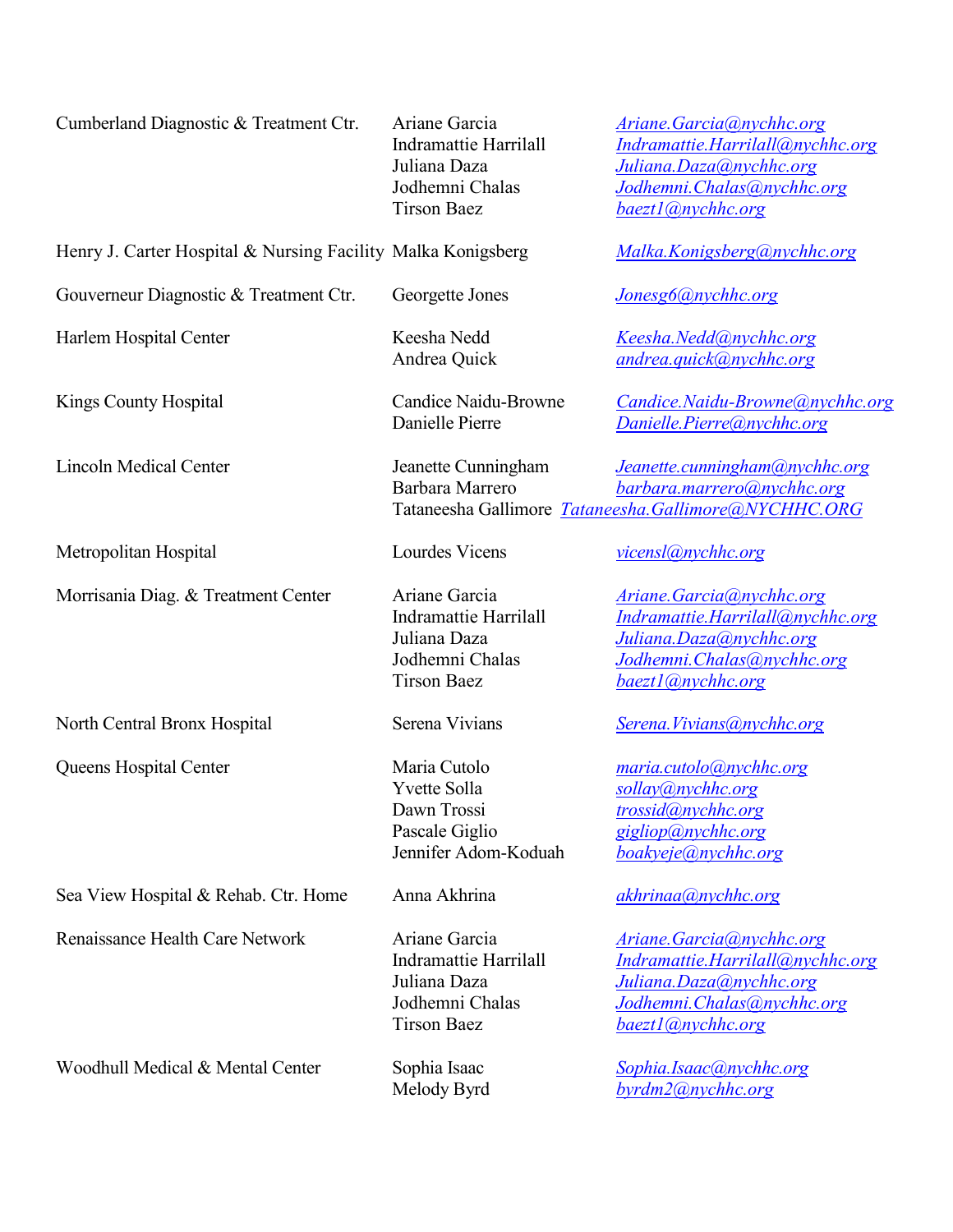| Cumberland Diagnostic & Treatment Ctr.                       | Ariane Garcia<br>Indramattie Harrilall<br>Juliana Daza<br>Jodhemni Chalas<br><b>Tirson Baez</b> | <b>Ariane.Garcia</b> @nychhc.org<br>Indramattie.Harrilall@nychhc.org<br>Juliana.Daza@nychhc.org<br>Jodhemni.Chalas@nychhc.org<br>baezt1@nychhc.org |
|--------------------------------------------------------------|-------------------------------------------------------------------------------------------------|----------------------------------------------------------------------------------------------------------------------------------------------------|
| Henry J. Carter Hospital & Nursing Facility Malka Konigsberg |                                                                                                 | Malka.Konigsberg@nychhc.org                                                                                                                        |
| Gouverneur Diagnostic & Treatment Ctr.                       | Georgette Jones                                                                                 | Jonesg6@nychhc.org                                                                                                                                 |
| Harlem Hospital Center                                       | Keesha Nedd<br>Andrea Quick                                                                     | Keesha.Nedd@nychhc.org<br>andrea.quick@nychhc.org                                                                                                  |
| <b>Kings County Hospital</b>                                 | <b>Candice Naidu-Browne</b><br>Danielle Pierre                                                  | Candice.Naidu-Browne@nychhc.org<br>Danielle.Pierre@nychhc.org                                                                                      |
| <b>Lincoln Medical Center</b>                                | Jeanette Cunningham<br>Barbara Marrero                                                          | Jeanette.cunningham@nychhc.org<br>barbara.marrero@nychhc.org<br>Tataneesha Gallimore Tataneesha.Gallimore@NYCHHC.ORG                               |
| Metropolitan Hospital                                        | Lourdes Vicens                                                                                  | vicensl@nychhc.org                                                                                                                                 |
| Morrisania Diag. & Treatment Center                          | Ariane Garcia<br>Indramattie Harrilall<br>Juliana Daza<br>Jodhemni Chalas<br><b>Tirson Baez</b> | <b>Ariane.Garcia</b> @nychhc.org<br>Indramattie.Harrilall@nychhc.org<br>Juliana.Daza@nychhc.org<br>Jodhemni.Chalas@nychhc.org<br>baezt1@nychhc.org |
| North Central Bronx Hospital                                 | Serena Vivians                                                                                  | Serena. Vivians@nychhc.org                                                                                                                         |
| Queens Hospital Center                                       | Maria Cutolo<br>Yvette Solla<br>Dawn Trossi<br>Pascale Giglio<br>Jennifer Adom-Koduah           | maria.cutolo@nychhc.org<br>sollay@nychhc.org<br>trossid@nychhc.org<br>gigliop@nychhc.org<br>boakyeje@nychhc.org                                    |
| Sea View Hospital & Rehab. Ctr. Home                         | Anna Akhrina                                                                                    | akhrinaa@nychhc.org                                                                                                                                |
| Renaissance Health Care Network                              | Ariane Garcia<br>Indramattie Harrilall<br>Juliana Daza<br>Jodhemni Chalas<br><b>Tirson Baez</b> | <b>Ariane.Garcia</b> @nychhc.org<br>Indramattie.Harrilall@nychhc.org<br>Juliana.Daza@nychhc.org<br>Jodhemni.Chalas@nychhc.org<br>baezt1@nychhc.org |
| Woodhull Medical & Mental Center                             | Sophia Isaac<br>Melody Byrd                                                                     | Sophia.Isaac@nychhc.org<br>byrdm2@nychhc.org                                                                                                       |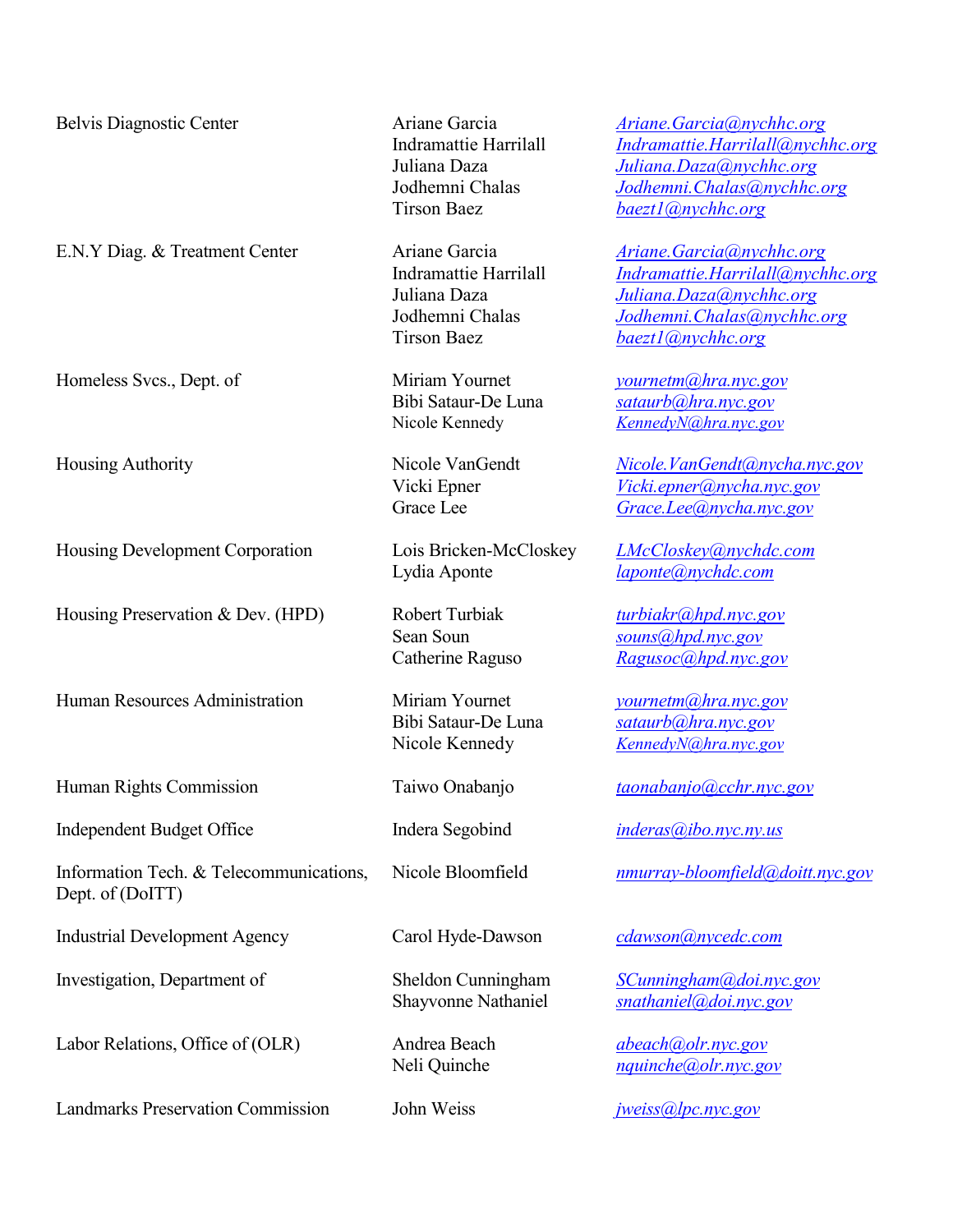E.N.Y Diag. & Treatment Center Ariane Garcia *[Ariane.Garcia@nychhc.org](mailto:Ariane.Garcia@nychhc.org)*

Homeless Svcs., Dept. of Miriam Yournet *[yournetm@hra.nyc.gov](mailto:yournetm@hra.nyc.gov)* 

Housing Development Corporation Lois Bricken-McCloskey *LMcCloskey@nychdc.com*

Housing Preservation & Dev. (HPD) Robert Turbiak *[turbiakr@hpd.nyc.gov](mailto:turbiakr@hpd.nyc.gov)* 

Human Resources Administration Miriam Yournet *[yournetm@hra.nyc.gov](mailto:yournetm@hra.nyc.gov)* 

Independent Budget Office Indera Segobind *[inderas@ibo.nyc.ny.us](mailto:inderas@ibo.nyc.ny.us)*

Information Tech. & Telecommunications, Nicole Bloomfield *[nmurray-bloomfield@doitt.nyc.gov](mailto:nmurray-bloomfield@doitt.nyc.gov)* Dept. of (DoITT)

Industrial Development Agency Carol Hyde-Dawson *[cdawson@nycedc.com](mailto:cdawson@nycedc.com)*

Investigation, Department of Sheldon Cunningham *[SCunningham@doi.nyc.gov](mailto:SCunningham@doi.nyc.gov)*

Labor Relations, Office of (OLR) Andrea Beach *[abeach@olr.nyc.gov](mailto:abeach@olr.nyc.gov)*

Landmarks Preservation Commission John Weiss *[jweiss@lpc.nyc.gov](mailto:msilberman@lpc.nyc.gov)*

Tirson Baez *[baezt1@nychhc.org](mailto:baezt1@nychhc.org)*

Tirson Baez *[baezt1@nychhc.org](mailto:baezt1@nychhc.org)*

Lydia Aponte *[laponte@nychdc.com](mailto:laponte@nychdc.com)*

Belvis Diagnostic Center Ariane Garcia *[Ariane.Garcia@nychhc.org](mailto:Ariane.Garcia@nychhc.org)* Indramattie Harrilall *[Indramattie.Harrilall@nychhc.org](mailto:Indramattie.Harrilall@nychhc.org)* Juliana Daza *[Juliana.Daza@nychhc.org](mailto:Juliana.Daza@nychhc.org)* Jodhemni Chalas *[Jodhemni.Chalas@nychhc.org](mailto:Jodhemni.Chalas@nychhc.org)*

> Indramattie Harrilall *[Indramattie.Harrilall@nychhc.org](mailto:Indramattie.Harrilall@nychhc.org)* Juliana Daza *[Juliana.Daza@nychhc.org](mailto:Juliana.Daza@nychhc.org)* Jodhemni Chalas *[Jodhemni.Chalas@nychhc.org](mailto:Jodhemni.Chalas@nychhc.org)*

Bibi Sataur-De Luna *[sataurb@hra.nyc.gov](mailto:sataurb@hra.nyc.gov)* Nicole Kennedy *[KennedyN@hra.nyc.gov](mailto:KennedyN@hra.nyc.gov)*

Housing Authority Nicole VanGendt *[Nicole.VanGendt@nycha.nyc.gov](mailto:Nicole.VanGendt@nycha.nyc.gov)* Vicki Epner *[Vicki.epner@nycha.nyc.gov](mailto:Vicki.epner@nycha.nyc.gov)* Grace Lee *[Grace.Lee@nycha.nyc.gov](mailto:Grace.Lee@nycha.nyc.gov)*

Sean Soun *[souns@hpd.nyc.gov](mailto:souns@hpd.nyc.gov)* Catherine Raguso *[Ragusoc@hpd.nyc.gov](mailto:Ragusoc@hpd.nyc.gov)*

Bibi Sataur-De Luna *[sataurb@hra.nyc.gov](mailto:sataurb@hra.nyc.gov)* Nicole Kennedy *[KennedyN@hra.nyc.gov](mailto:KennedyN@hra.nyc.gov)*

Human Rights Commission Taiwo Onabanjo *[taonabanjo@cchr.nyc.gov](mailto:taonabanjo@cchr.nyc.gov)*

Shayvonne Nathaniel *[snathaniel@doi.nyc.gov](mailto:snathaniel@doi.nyc.gov)*

Neli Quinche *[nquinche@olr.nyc.gov](mailto:nquinche@olr.nyc.gov)*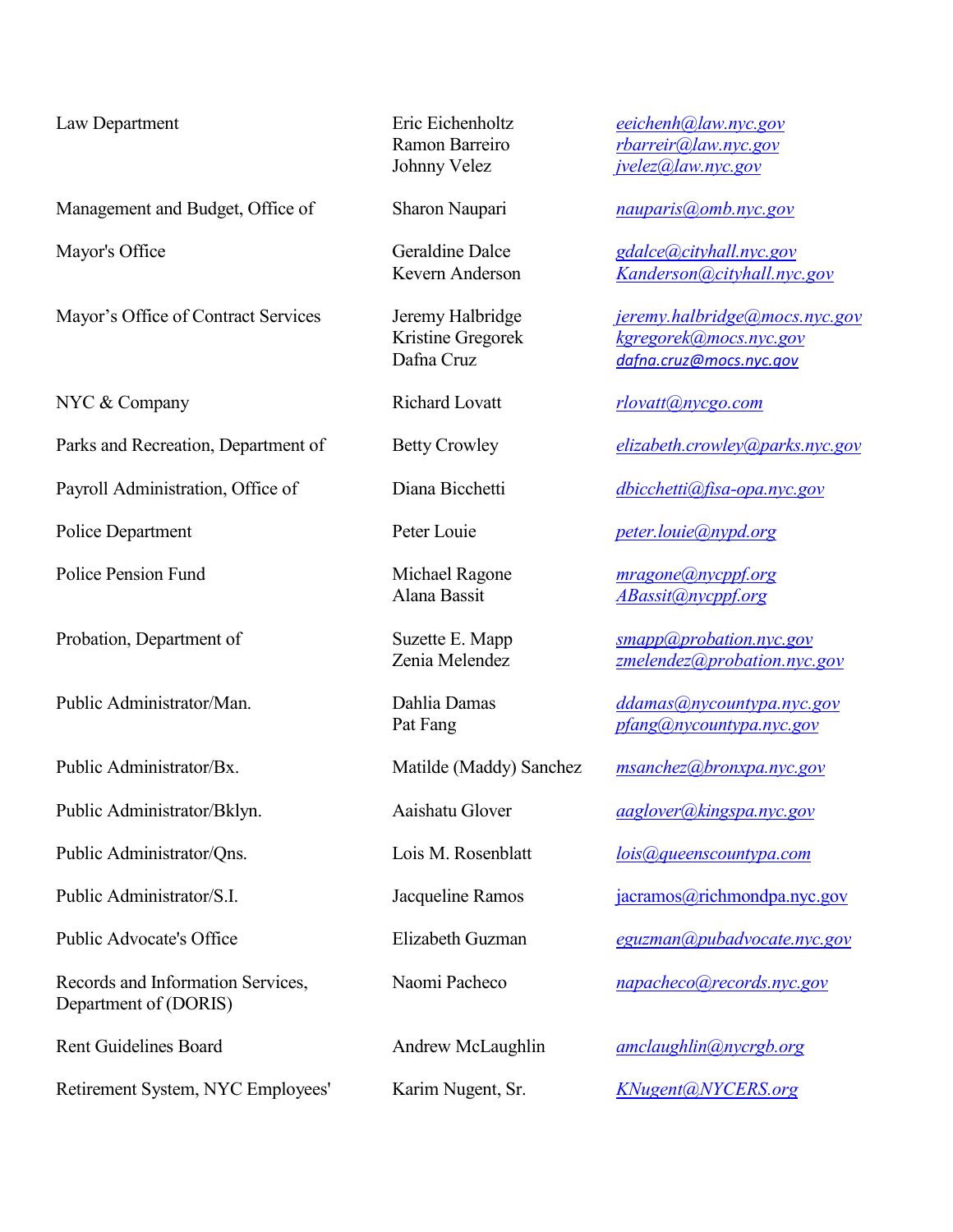Management and Budget, Office of Sharon Naupari *nauparis@omb.nyc.gov*

Mayor's Office of Contract Services Jeremy Halbridge *[jeremy.halbridge@mocs.nyc.gov](mailto:jeremy.halbridge@mocs.nyc.gov)* 

Parks and Recreation, Department of Betty Crowley *[elizabeth.crowley@parks.nyc.gov](mailto:Elizabeth.Crowley@parks.nyc.gov)*

Payroll Administration, Office of Diana Bicchetti *[dbicchetti@fisa-opa.nyc.gov](mailto:dbicchetti@fisa-opa.nyc.gov)* 

Police Pension Fund Michael Ragone *[mragone@nycppf.org](mailto:mragone@nycppf.org)*

Public Administrator/Bx. Matilde (Maddy) Sanchez *[msanchez@bronxpa.nyc.gov](mailto:msanchez@bronxpa.nyc.gov)* 

Public Administrator/Bklyn. Aaishatu Glover *[aaglover@kingspa.nyc.gov](mailto:aaglover@kingspa.nyc.gov)*

Public Administrator/Qns. Lois M. Rosenblatt *[lois@queenscountypa.com](mailto:lois@queenscountypa.com)*

Records and Information Services, Naomi Pacheco *[napacheco@records.nyc.gov](mailto:napacheco@doris.nyc.gov)* Department of (DORIS)

Retirement System, NYC Employees' Karim Nugent, Sr. *[KNugent@NYCERS.org](mailto:KNugent@NYCERS.org)* 

Law Department Eric Eichenholtz *[eeichenh@law.nyc.gov](mailto:eeichenh@law.nyc.gov)* Ramon Barreiro *[rbarreir@law.nyc.gov](mailto:rbarreir@law.nyc.gov)* Johnny Velez *[jvelez@law.nyc.gov](mailto:jvelez@law.nyc.gov)*

Mayor's Office Geraldine Dalce *[gdalce@cityhall.nyc.gov](mailto:gdalce@cityhall.nyc.gov)* Kevern Anderson *[Kanderson@cityhall.nyc.gov](mailto:Kanderson@cityhall.nyc.gov)*

> Kristine Gregorek *[kgregorek@mocs.nyc.gov](mailto:kgregorek@cityhall.nyc.gov)* Dafna Cruz *[dafna.cruz@mocs.nyc.gov](mailto:dafna.cruz@mocs.nyc.gov)*

NYC & Company **Richard Lovatt** *[rlovatt@nycgo.com](mailto:rlovatt@nycgo.com)* 

Police Department Peter Louie *[peter.louie@nypd.org](mailto:peter.louie@nypd.org)* 

Alana Bassit *[ABassit@nycppf.org](mailto:ABassit@nycppf.org)*

Probation, Department of Suzette E. Mapp *[smapp@probation.nyc.gov](mailto:smapp@probation.nyc.gov)*<br>
Zenia Melendez<br> *Zenia Melendez zmelendez@probation.nyc.gov* [zmelendez@probation.nyc.gov](mailto:zmelendez@probation.nyc.gov)

Public Administrator/Man. Dahlia Damas *[ddamas@nycountypa.nyc.gov](mailto:ddamas@nycountypa.nyc.gov)* Pat Fang *[pfang@nycountypa.nyc.gov](mailto:pfang@nycountypa.nyc.gov)* 

Public Administrator/S.I. Jacqueline Ramos jacramos *iacramos@richmondpa.nyc.gov* 

Public Advocate's Office **Elizabeth Guzman** *[eguzman@pubadvocate.nyc.gov](mailto:eguzman@pubadvocate.nyc.gov)* 

Rent Guidelines Board **Andrew McLaughlin** *[amclaughlin@nycrgb.org](mailto:amclaughlin@nycrgb.org)*